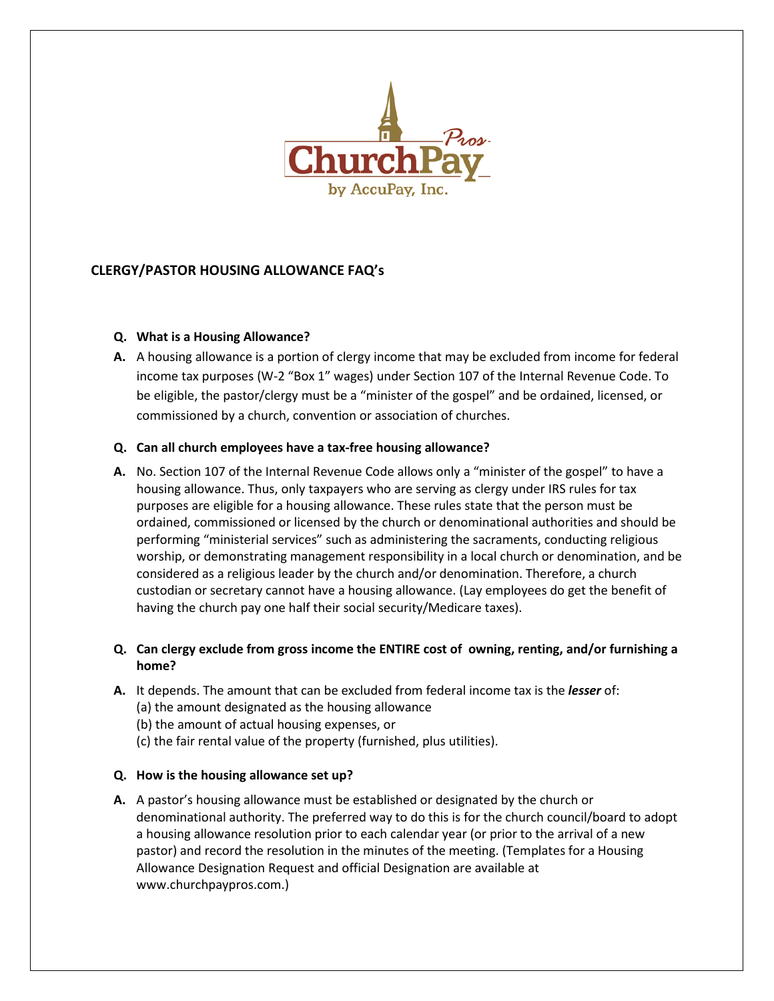

# **CLERGY/PASTOR HOUSING ALLOWANCE FAQ's**

### **Q. What is a Housing Allowance?**

**A.** A housing allowance is a portion of clergy income that may be excluded from income for federal income tax purposes (W-2 "Box 1" wages) under Section 107 of the Internal Revenue Code. To be eligible, the pastor/clergy must be a "minister of the gospel" and be ordained, licensed, or commissioned by a church, convention or association of churches.

### **Q. Can all church employees have a tax-free housing allowance?**

**A.** No. Section 107 of the Internal Revenue Code allows only a "minister of the gospel" to have a housing allowance. Thus, only taxpayers who are serving as clergy under IRS rules for tax purposes are eligible for a housing allowance. These rules state that the person must be ordained, commissioned or licensed by the church or denominational authorities and should be performing "ministerial services" such as administering the sacraments, conducting religious worship, or demonstrating management responsibility in a local church or denomination, and be considered as a religious leader by the church and/or denomination. Therefore, a church custodian or secretary cannot have a housing allowance. (Lay employees do get the benefit of having the church pay one half their social security/Medicare taxes).

# **Q. Can clergy exclude from gross income the ENTIRE cost of owning, renting, and/or furnishing a home?**

- **A.** It depends. The amount that can be excluded from federal income tax is the *lesser* of: (a) the amount designated as the housing allowance
	- (b) the amount of actual housing expenses, or
	- (c) the fair rental value of the property (furnished, plus utilities).

## **Q. How is the housing allowance set up?**

**A.** A pastor's housing allowance must be established or designated by the church or denominational authority. The preferred way to do this is for the church council/board to adopt a housing allowance resolution prior to each calendar year (or prior to the arrival of a new pastor) and record the resolution in the minutes of the meeting. (Templates for a Housing Allowance Designation Request and official Designation are available at [www.churchpaypros.com.](http://www.churchpaypros.com/))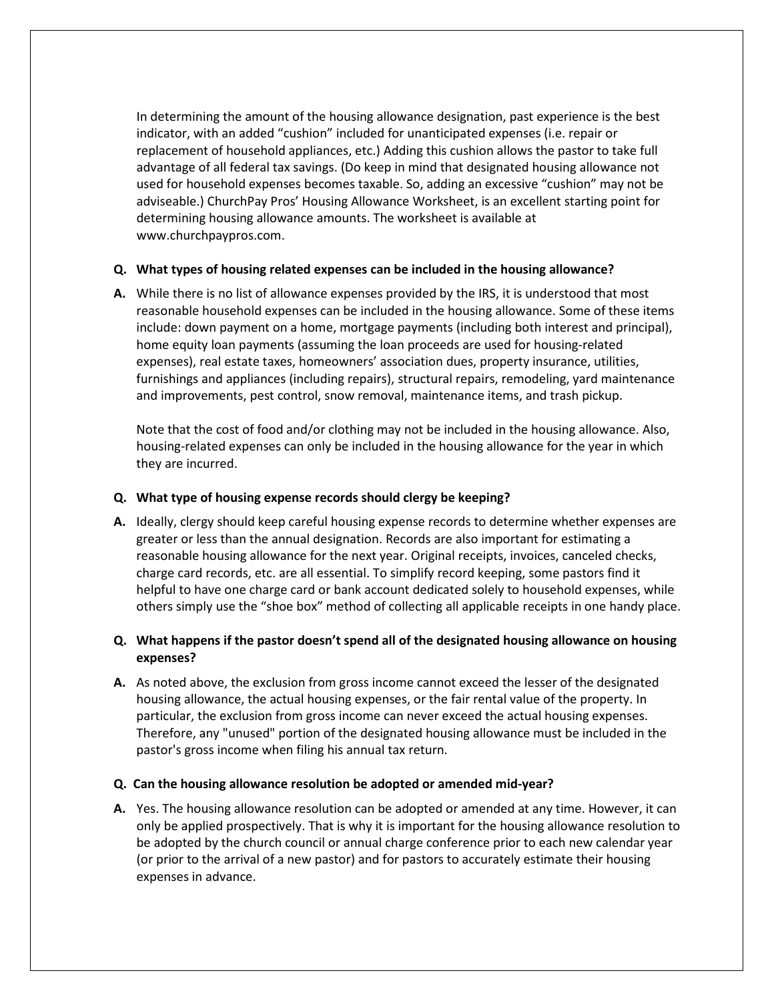In determining the amount of the housing allowance designation, past experience is the best indicator, with an added "cushion" included for unanticipated expenses (i.e. repair or replacement of household appliances, etc.) Adding this cushion allows the pastor to take full advantage of all federal tax savings. (Do keep in mind that designated housing allowance not used for household expenses becomes taxable. So, adding an excessive "cushion" may not be adviseable.) ChurchPay Pros' Housing Allowance Worksheet, is an excellent starting point for determining housing allowance amounts. The worksheet is available at www.churchpaypros.com.

### **Q. What types of housing related expenses can be included in the housing allowance?**

**A.** While there is no list of allowance expenses provided by the IRS, it is understood that most reasonable household expenses can be included in the housing allowance. Some of these items include: down payment on a home, mortgage payments (including both interest and principal), home equity loan payments (assuming the loan proceeds are used for housing-related expenses), real estate taxes, homeowners' association dues, property insurance, utilities, furnishings and appliances (including repairs), structural repairs, remodeling, yard maintenance and improvements, pest control, snow removal, maintenance items, and trash pickup.

Note that the cost of food and/or clothing may not be included in the housing allowance. Also, housing-related expenses can only be included in the housing allowance for the year in which they are incurred.

### **Q. What type of housing expense records should clergy be keeping?**

**A.** Ideally, clergy should keep careful housing expense records to determine whether expenses are greater or less than the annual designation. Records are also important for estimating a reasonable housing allowance for the next year. Original receipts, invoices, canceled checks, charge card records, etc. are all essential. To simplify record keeping, some pastors find it helpful to have one charge card or bank account dedicated solely to household expenses, while others simply use the "shoe box" method of collecting all applicable receipts in one handy place.

# **Q. What happens if the pastor doesn't spend all of the designated housing allowance on housing expenses?**

**A.** As noted above, the exclusion from gross income cannot exceed the lesser of the designated housing allowance, the actual housing expenses, or the fair rental value of the property. In particular, the exclusion from gross income can never exceed the actual housing expenses. Therefore, any "unused" portion of the designated housing allowance must be included in the pastor's gross income when filing his annual tax return.

#### **Q. Can the housing allowance resolution be adopted or amended mid-year?**

**A.** Yes. The housing allowance resolution can be adopted or amended at any time. However, it can only be applied prospectively. That is why it is important for the housing allowance resolution to be adopted by the church council or annual charge conference prior to each new calendar year (or prior to the arrival of a new pastor) and for pastors to accurately estimate their housing expenses in advance.